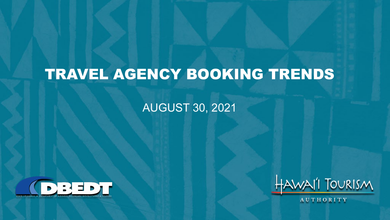## TRAVEL AGENCY BOOKING TRENDS

#### AUGUST 30, 2021





AUTHORITY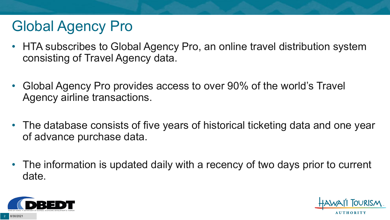# Global Agency Pro

- HTA subscribes to Global Agency Pro, an online travel distribution system consisting of Travel Agency data.
- Global Agency Pro provides access to over 90% of the world's Travel Agency airline transactions.
- The database consists of five years of historical ticketing data and one year of advance purchase data.
- The information is updated daily with a recency of two days prior to current date.



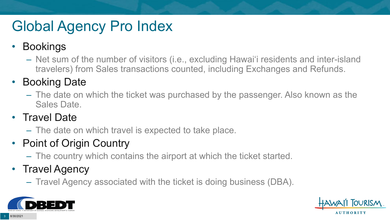# Global Agency Pro Index

#### • Bookings

– Net sum of the number of visitors (i.e., excluding Hawai'i residents and inter-island travelers) from Sales transactions counted, including Exchanges and Refunds.

#### • Booking Date

– The date on which the ticket was purchased by the passenger. Also known as the Sales Date.

#### • Travel Date

– The date on which travel is expected to take place.

#### • Point of Origin Country

– The country which contains the airport at which the ticket started.

#### • Travel Agency

– Travel Agency associated with the ticket is doing business (DBA).



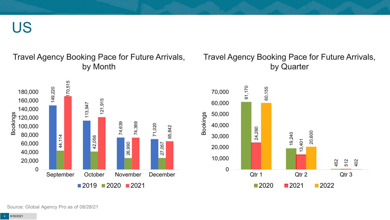US

#### Travel Agency Booking Pace for Future Arrivals, by Month



#### Travel Agency Booking Pace for Future Arrivals, by Quarter



Source: Global Agency Pro as of 08/28/21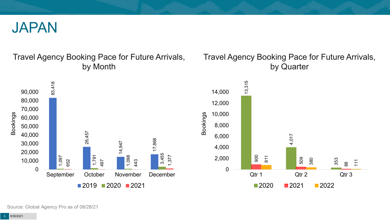

Travel Agency Booking Pace for Future Arrivals, by Month



#### Travel Agency Booking Pace for Future Arrivals, by Quarter



Source: Global Agency Pro as of 08/28/21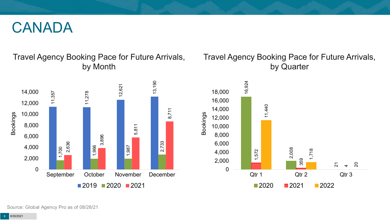#### CANADA

Travel Agency Booking Pace for Future Arrivals, by Month



#### Travel Agency Booking Pace for Future Arrivals, by Quarter



Source: Global Agency Pro as of 08/28/21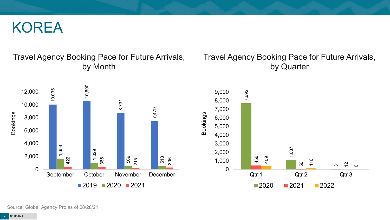#### KOREA

#### Travel Agency Booking Pace for Future Arrivals, by Month



#### Travel Agency Booking Pace for Future Arrivals, by Quarter



Source: Global Agency Pro as of 08/28/21

8/30/2021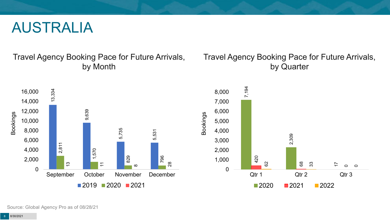#### AUSTRALIA

Travel Agency Booking Pace for Future Arrivals, by Month

#### Travel Agency Booking Pace for Future Arrivals, by Quarter

68

33

17

 $\circ$  $\circ$ 



Source: Global Agency Pro as of 08/28/21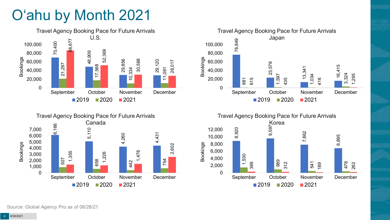# O'ahu by Month 2021







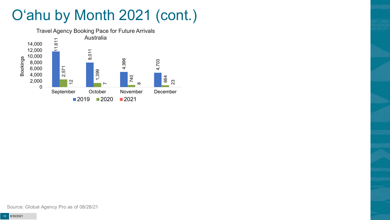# O'ahu by Month 2021 (cont.)

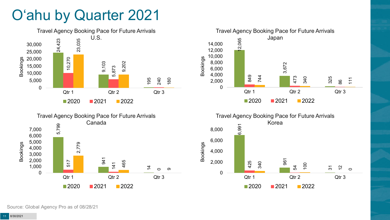### O'ahu by Quarter 2021







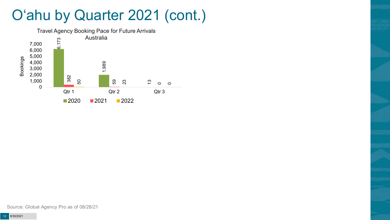### O'ahu by Quarter 2021 (cont.)

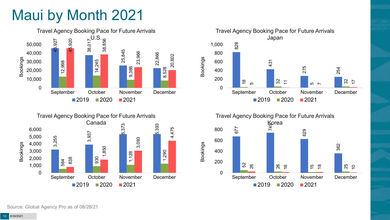## Maui by Month 2021







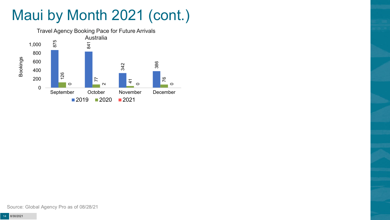# Maui by Month 2021 (cont.)

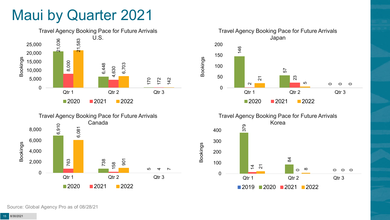#### Maui by Quarter 2021







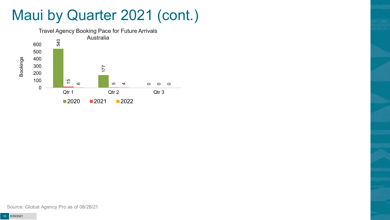### Maui by Quarter 2021 (cont.)

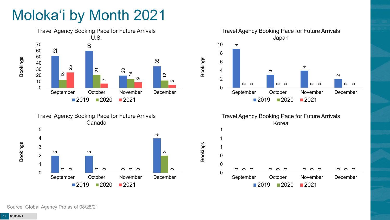# Moloka'i by Month 2021





Travel Agency Booking Pace for Future Arrivals Japan  $\sigma$  $\infty$  $\sim$  0 0 0 0 September October November December 2020 2021

Bookings

Bookings

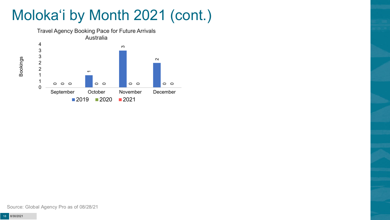# Moloka'i by Month 2021 (cont.)



Source: Global Agency Pro as of 08/28/21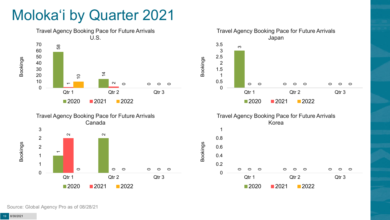### Moloka'i by Quarter 2021







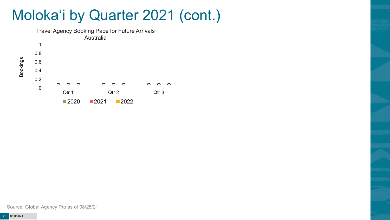#### Moloka'i by Quarter 2021 (cont.)



Source: Global Agency Pro as of 08/28/21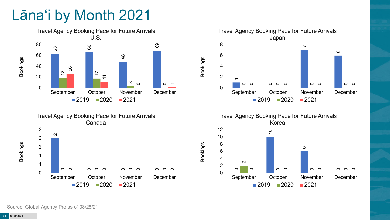# Lāna'i by Month 2021







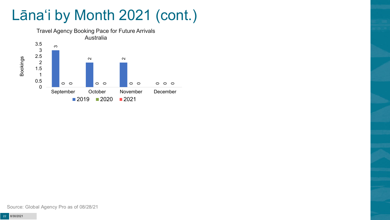# Lāna'i by Month 2021 (cont.)



Source: Global Agency Pro as of 08/28/21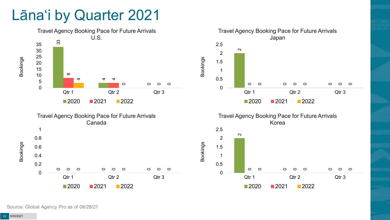#### Lāna'i by Quarter 2021





റ

**2020 2021 2022** 

0

Qtr 1 Qtr 2 Qtr 3

 $\circ$ 

റ

 $\circ$ 

 $\circ$ 

 $\circ$ 

0

 $\circ$ 

Source: Global Agency Pro as of 08/28/21

 $\circ$ 

0

0.2

0.4

 $\circ$ 

 $\circ$ 

 $\circ$ 

**2020 2021 2022** 

0

Qtr 1 Qtr 2 Qtr 3

 $\circ$ 

 $\circ$ 

 $\Omega$ 

 $\circ$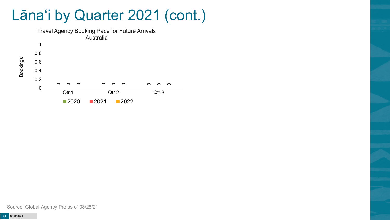Lāna'i by Quarter 2021 (cont.)



Source: Global Agency Pro as of 08/28/21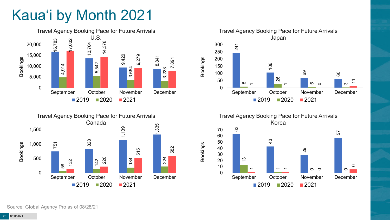# Kaua'i by Month 2021









Bookings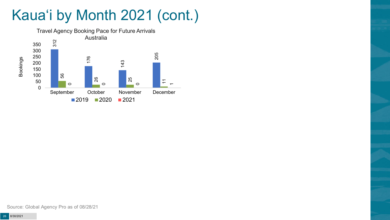# Kaua'i by Month 2021 (cont.)

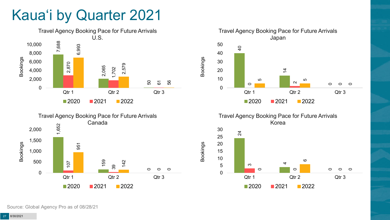### Kaua'i by Quarter 2021







Travel Agency Booking Pace for Future Arrivals Korea

Bookings

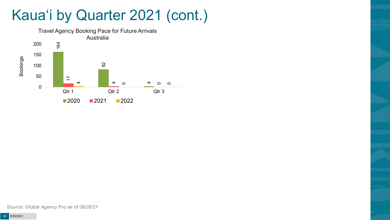### Kaua'i by Quarter 2021 (cont.)

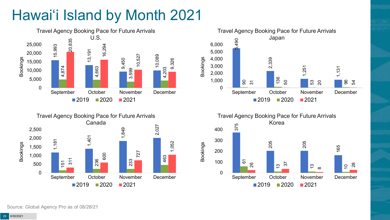# Hawai'i Island by Month 2021







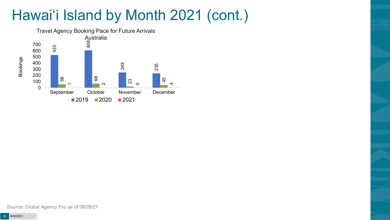# Hawai'i Island by Month 2021 (cont.)

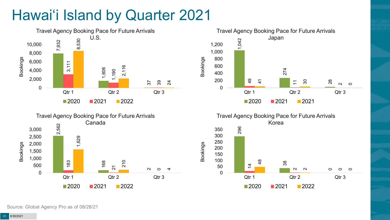# Hawai'i Island by Quarter 2021









Bookings